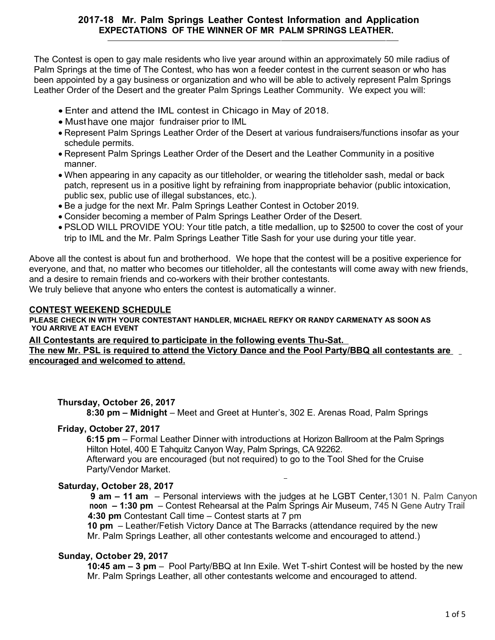# **2017-18 Mr. Palm Springs Leather Contest Information and Application EXPECTATIONS OF THE WINNER OF MR PALM SPRINGS LEATHER.**

The Contest is open to gay male residents who live year around within an approximately 50 mile radius of Palm Springs at the time of The Contest, who has won a feeder contest in the current season or who has been appointed by a gay business or organization and who will be able to actively represent Palm Springs Leather Order of the Desert and the greater Palm Springs Leather Community. We expect you will:

- Enter and attend the IML contest in Chicago in May of 2018.
- Must have one major fundraiser prior to IML
- schedule permits. Represent Palm Springs Leather Order of the Desert at various fundraisers/functions insofar as your
- Represent Palm Springs Leather Order of the Desert and the Leather Community in a positive manner.
- When appearing in any capacity as our titleholder, or wearing the titleholder sash, medal or back patch, represent us in a positive light by refraining from inappropriate behavior (public intoxication, public sex, public use of illegal substances, etc.).
- Be a judge for the next Mr. Palm Springs Leather Contest in October 2019.
- Consider becoming a member of Palm Springs Leather Order of the Desert.
- trip to IML and the Mr. Palm Springs Leather Title Sash for your use during your title year. PSLOD WILL PROVIDE YOU: Your title patch, a title medallion, up to \$2500 to cover the cost of your

Above all the contest is about fun and brotherhood. We hope that the contest will be a positive experience for everyone, and that, no matter who becomes our titleholder, all the contestants will come away with new friends, and a desire to remain friends and co-workers with their brother contestants.

We truly believe that anyone who enters the contest is automatically a winner.

#### **CONTEST WEEKEND SCHEDULE**

**PLEASE CHECK IN WITH YOUR CONTESTANT HANDLER, MICHAEL REFKY OR RANDY CARMENATY AS SOON AS YOU ARRIVE AT EACH EVENT**

#### **All Contestants are required to participate in the following events Thu-Sat. The new Mr. PSL is required to attend the Victory Dance and the Pool Party/BBQ all contestants are encouraged and welcomed to attend.**

#### **Thursday, October 26, 2017**

**8:30 pm – Midnight** – Meet and Greet at Hunter's, 302 E. Arenas Road, Palm Springs

#### **Friday, October 27, 2017**

**6:15 pm** – Formal Leather Dinner with introductions at Horizon Ballroom at the Palm Springs Hilton Hotel, 400 E Tahquitz Canyon Way, Palm Springs, CA 92262.

Afterward you are encouraged (but not required) to go to the Tool Shed for the Cruise Party/Vendor Market.

#### **Saturday, October 28, 2017**

**9 am – 11 am** – Personal interviews with the judges at he LGBT Center,1301 N. Palm Canyon **noon – 1:30 pm** – Contest Rehearsal at the Palm Springs Air Museum, 745 N Gene Autry Trail  **4:30 pm** Contestant Call time – Contest starts at 7 pm

**10 pm** – Leather/Fetish Victory Dance at The Barracks (attendance required by the new Mr. Palm Springs Leather, all other contestants welcome and encouraged to attend.)

#### **Sunday, October 29, 2017**

**10:45 am – 3 pm** – Pool Party/BBQ at Inn Exile. Wet T-shirt Contest will be hosted by the new Mr. Palm Springs Leather, all other contestants welcome and encouraged to attend.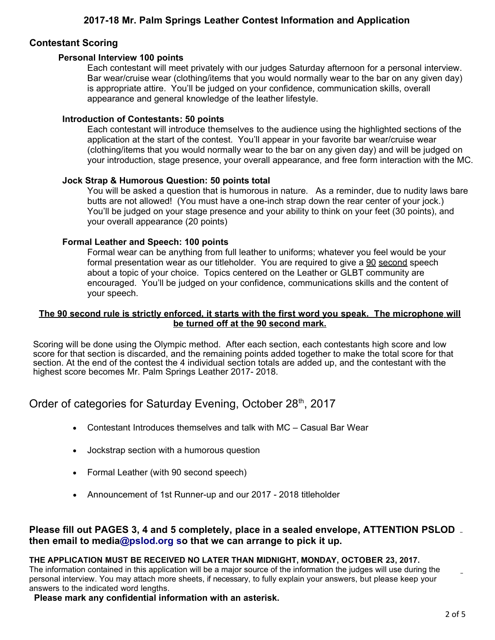# **Contestant Scoring**

#### **Personal Interview 100 points**

Each contestant will meet privately with our judges Saturday afternoon for a personal interview. Bar wear/cruise wear (clothing/items that you would normally wear to the bar on any given day) is appropriate attire. You'll be judged on your confidence, communication skills, overall appearance and general knowledge of the leather lifestyle.

#### **Introduction of Contestants: 50 points**

Each contestant will introduce themselves to the audience using the highlighted sections of the application at the start of the contest. You'll appear in your favorite bar wear/cruise wear (clothing/items that you would normally wear to the bar on any given day) and will be judged on your introduction, stage presence, your overall appearance, and free form interaction with the MC.

#### **Jock Strap & Humorous Question: 50 points total**

You will be asked a question that is humorous in nature. As a reminder, due to nudity laws bare butts are not allowed! (You must have a one-inch strap down the rear center of your jock.) You'll be judged on your stage presence and your ability to think on your feet (30 points), and your overall appearance (20 points)

#### **Formal Leather and Speech: 100 points**

Formal wear can be anything from full leather to uniforms; whatever you feel would be your formal presentation wear as our titleholder. You are required to give a 90 second speech about a topic of your choice. Topics centered on the Leather or GLBT community are encouraged. You'll be judged on your confidence, communications skills and the content of your speech.

#### The 90 second rule is strictly enforced, it starts with the first word you speak. The microphone will be turned off at the 90 second mark.

Scoring will be done using the Olympic method. After each section, each contestants high score and low score for that section is discarded, and the remaining points added together to make the total score for that section. At the end of the contest the 4 individual section totals are added up, and the contestant with the highest score becomes Mr. Palm Springs Leather 2017- 2018.

# Order of categories for Saturday Evening, October 28<sup>th</sup>, 2017

- Contestant Introduces themselves and talk with MC Casual Bar Wear
- Jockstrap section with a humorous question
- Formal Leather (with 90 second speech)
- Announcement of 1st Runner-up and our 2017 2018 titleholder

# **Please fill out PAGES 3, 4 and 5 completely, place in a sealed envelope, ATTENTION PSLOD then email to media[@pslod.org so that we](mailto:psleathercontest@pslod.org) can arrange to pick it up.**

#### **THE APPLICATION MUST BE RECEIVED NO LATER THAN MIDNIGHT, MONDAY, OCTOBER 23, 2017.**

The information contained in this application will be a major source of the information the judges will use during the personal interview. You may attach more sheets, if necessary, to fully explain your answers, but please keep your answers to the indicated word lengths.

#### **Please mark any confidential information with an asterisk.**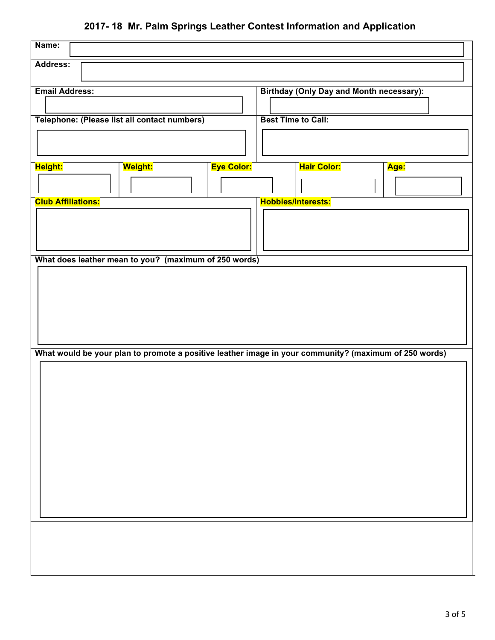# **2017- 18 Mr. Palm Springs Leather Contest Information and Application**

| Name:                     |                                                                                                       |                   |                           |                                                 |      |
|---------------------------|-------------------------------------------------------------------------------------------------------|-------------------|---------------------------|-------------------------------------------------|------|
| Address:                  |                                                                                                       |                   |                           |                                                 |      |
| <b>Email Address:</b>     |                                                                                                       |                   |                           | <b>Birthday (Only Day and Month necessary):</b> |      |
|                           |                                                                                                       |                   |                           |                                                 |      |
|                           | Telephone: (Please list all contact numbers)                                                          |                   | <b>Best Time to Call:</b> |                                                 |      |
|                           |                                                                                                       |                   |                           |                                                 |      |
|                           |                                                                                                       |                   |                           |                                                 |      |
| Height:                   | <mark>Weight:</mark>                                                                                  | <b>Eye Color:</b> |                           | <b>Hair Color:</b>                              | Age: |
|                           |                                                                                                       |                   |                           |                                                 |      |
| <b>Club Affiliations:</b> |                                                                                                       |                   |                           | <b>Hobbies/Interests:</b>                       |      |
|                           |                                                                                                       |                   |                           |                                                 |      |
|                           |                                                                                                       |                   |                           |                                                 |      |
|                           | What does leather mean to you? (maximum of 250 words)                                                 |                   |                           |                                                 |      |
|                           |                                                                                                       |                   |                           |                                                 |      |
|                           |                                                                                                       |                   |                           |                                                 |      |
|                           |                                                                                                       |                   |                           |                                                 |      |
|                           |                                                                                                       |                   |                           |                                                 |      |
|                           |                                                                                                       |                   |                           |                                                 |      |
|                           | What would be your plan to promote a positive leather image in your community? (maximum of 250 words) |                   |                           |                                                 |      |
|                           |                                                                                                       |                   |                           |                                                 |      |
|                           |                                                                                                       |                   |                           |                                                 |      |
|                           |                                                                                                       |                   |                           |                                                 |      |
|                           |                                                                                                       |                   |                           |                                                 |      |
|                           |                                                                                                       |                   |                           |                                                 |      |
|                           |                                                                                                       |                   |                           |                                                 |      |
|                           |                                                                                                       |                   |                           |                                                 |      |
|                           |                                                                                                       |                   |                           |                                                 |      |
|                           |                                                                                                       |                   |                           |                                                 |      |
|                           |                                                                                                       |                   |                           |                                                 |      |
|                           |                                                                                                       |                   |                           |                                                 |      |
|                           |                                                                                                       |                   |                           |                                                 |      |
|                           |                                                                                                       |                   |                           |                                                 |      |
|                           |                                                                                                       |                   |                           |                                                 |      |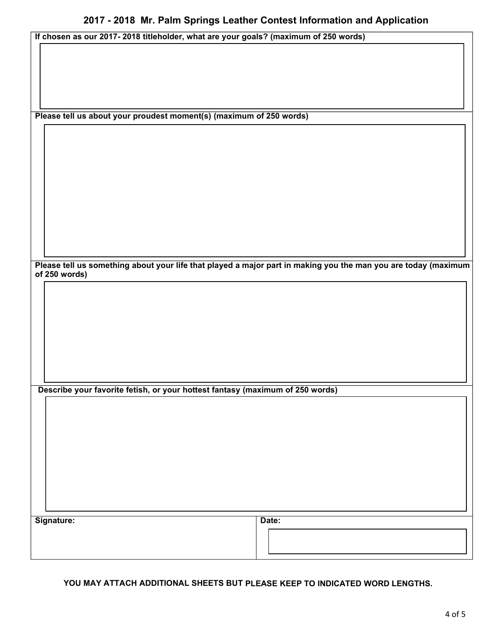| If chosen as our 2017- 2018 titleholder, what are your goals? (maximum of 250 words) |  |
|--------------------------------------------------------------------------------------|--|
|--------------------------------------------------------------------------------------|--|

**Please tell us about your proudest moment(s) (maximum of 250 words)**

Please tell us something about your life that played a major part in making you the man you are today (maximum **of 250 words)**

**Describe your favorite fetish, or your hottest fantasy (maximum of 250 words)**

Signature: **Date: Date: Date: Date: Date: Date: Date: Date: Date: Date: Date: Date: Date: Date: Date: Date: Date: Date: Date: Date: Date: Date: Date: Date: Date: Date: Da** 

**YOU MAY ATTACH ADDITIONAL SHEETS BUT PLEASE KEEP TO INDICATED WORD LENGTHS.**